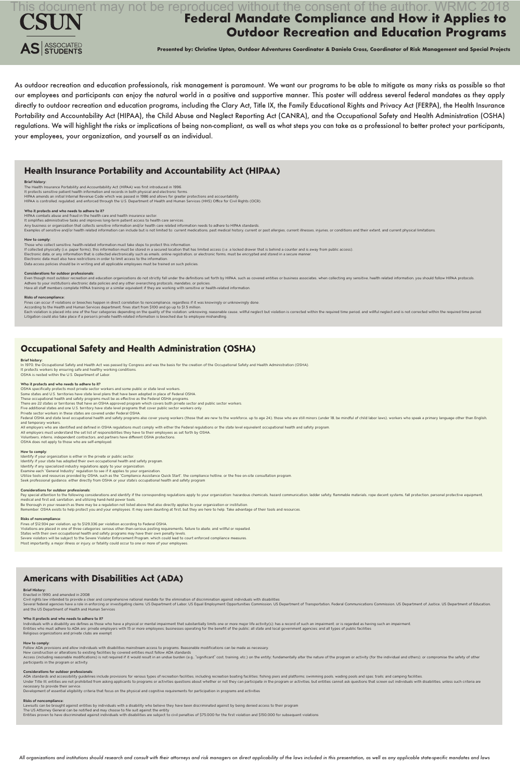As outdoor recreation and education professionals, risk management is paramount. We want our programs to be able to mitigate as many risks as possible so that our employees and participants can enjoy the natural world in a positive and supportive manner. This poster will address several federal mandates as they apply directly to outdoor recreation and education programs, including the Clary Act, Title IX, the Family Educational Rights and Privacy Act (FERPA), the Health Insurance Portability and Accountability Act (HIPAA), the Child Abuse and Neglect Reporting Act (CANRA), and the Occupational Safety and Health Administration (OSHA) regulations. We will highlight the risks or implications of being non-compliant, as well as what steps you can take as a professional to better protect your participants, your employees, your organization, and yourself as an individual.

The Health Insurance Portability and Accountability Act (HIPAA) was first introduced in 1996. It protects sensitive patient health information and records in both physical and electronic forms. HIPAA amends an initial Internal Revenue Code which was passed in 1986 and allows for greater protections and accountability. HIPAA is controlled, regulated, and enforced through the U.S. Department of Health and Human Services (HHS) Office for Civil Rights (OCR).

HIPAA combats abuse and fraud in the health care and health insurance sector. It simplifies administrative tasks and improves long-term patient access to health care services. Any business or organization that collects sensitive information and/or health care related information needs to adhere to HIPAA standards. Examples of sensitive and/or health related information can include but is not limited to: current medications, past medical history, current or past allergies, current illnesses, injuries, or conditions and their extent,

**Presented by: Christine Upton, Outdoor Adventures Coordinator & Daniela Cross, Coordinator of Risk Management and Special Projects** 

# Health Insurance Portability and Accountability Act (HIPAA)

# **Brief history:**

Even though most outdoor recreation and education organizations do not strictly fall under the definitions set forth by HIPAA, such as covered entities or business associates, when collecting any sensitive, health related Adhere to your institution's electronic data policies and any other overarching protocols, mandates, or policies.

Have all staff members complete HIPAA training or a similar equivalent if they are working with sensitive or health-related information.

# **Who it protects and who needs to adhere to it?**

Each violation is placed into one of the four categories depending on the quality of the violation: unknowing, reasonable cause, willful neglect but violation is corrected within the required time period, and willful negle Litigation could also take place if a person's private health-related information is breeched due to employee mishandling.

OSHA specifically protects most private sector workers and some public or state level workers. Some states and U.S. territories have state level plans that have been adopted in place of Federal OSHA. These occupational health and safety programs must be as effective as the Federal OSHA programs. There are 22 states or territories that have an OSHA approved program which covers both private sector and public sector workers. Five additional states and one U.S. territory have state level programs that cover public sector workers only. Private sector workers in these states are covered under Federal OSHA. Federal OSHA and state level occupational health and safety programs also cover young workers (those that are new to the workforce, up to age 24), those who are still minors (under 18, be mindful of child labor laws), work and temporary workers. All employers who are identified and defined in OSHA regulations must comply with either the Federal regulations or the state level equivalent occupational health and safety program. All employers must understand the set list of responsibilities they have to their employees as set forth by OSHA. Volunteers, interns, independent contractors, and partners have different OSHA protections.

# **How to comply:**

Those who collect sensitive, health-related information must take steps to protect this information. If collected physically (i.e. paper forms), this information must be stored in a secured location that has limited access (i.e. a locked drawer that is behind a counter and is away from public access). Electronic data, or any information that is collected electronically such as emails, online registration, or electronic forms, must be encrypted and stored in a secure manner. Electronic data must also have restrictions in order to limit access to the information. Data access policies should be in writing and all applicable employees must be trained on such policies.

#### **Considerations for outdoor professionals:**

Pay special attention to the following considerations and identify if the corresponding regulations apply to your organization: hazardous chemicals, hazard communication, ladder safety, flammable materials, rope decent sys medical and first aid, sanitation, and utilizing hand-held power tools. Be thorough in your research as there may be a regulation not listed above that also directly applies to your organization or institution.

Remember: OSHA exists to help protect you and your employees. It may seem daunting at first, but they are here to help. Take advantage of their tools and resources.

# **Risks of noncompliance:**

Fines can occur if violations or breeches happen in direct correlation to noncompliance, regardless if it was knowingly or unknowingly done.

According to the Health and Human Services department, fines start from \$100 and go up to \$1.5 million.

# Occupational Safety and Health Administration (OSHA)

# **Brief history:**

In 1970, the Occupational Safety and Health Act was passed by Congress and was the basis for the creation of the Occupational Safety and Health Administration (OSHA).

Individuals with a disability are defines as those who have a physical or mental impairment that substantially limits one or more major life activity(s); has a record of such an impairment; or is regarded as having such an Entities who must adhere to ADA are: private employers with 15 or more employees; businesses operating for the benefit of the public; all state and local government agencies; and all types of public facilities Religious organizations and private clubs are exempt

It protects workers by ensuring safe and healthy working conditions.

OSHA is nested within the U.S. Department of Labor.

## **Who it protects and who needs to adhere to it?**

Access (including reasonable modifications) is not required if it would result in an undue burden (e.g., "significant" cost, training, etc.) on the entity; fundamentally alter the nature of the program or activity (for the participants in the program or activity.

ADA standards and accessibility guidelines include provisions for various types of recreation facilities, including recreation boating facilities; fishing piers and platforms; swimming pools, wading pools and spas; trails; Under Title III, entities are not prohibited from asking applicants to programs or activities questions about whether or not they can participate in the program or activities, but entities cannot ask questions that screen necessary to provide their service.

# **Federal Mandate Compliance and How it Applies to Outdoor Recreation and Education Programs**  This document may not be reproduced without the consent of the author. WRMC 2018



OSHA does not apply to those who are self-employed.

# **How to comply:**

Identify if your organization is either in the private or public sector. Identify if your state has adopted their own occupational health and safety program. Identify if any specialized industry regulations apply to your organization. Examine each "General Industry" regulation to see if it applies to your organization. Utilize tools and resources provided by OSHA, such as the "Compliance Assistance Quick Start", the compliance hotline, or the free on-site consultation program. Seek professional guidance, either directly from OSHA or your state's occupational health and safety program

# **Considerations for outdoor professionals:**

# **Risks of noncompliance:**

Fines of \$12,934 per violation, up to \$129,336 per violation according to Federal OSHA. Violations are placed in one of three categories: serious other-than-serious posting requirements, failure to abate, and willful or repeated. States with their own occupational health and safety programs may have their own penalty levels. Severe violators will be subject to the Severe Violator Enforcement Program, which could lead to court enforced compliance measures.

# Americans with Disabilities Act (ADA)

# **Brief History:**

Enacted in 1990, and amended in 2008

Civil rights law intended to provide a clear and comprehensive national mandate for the elimination of discrimination against individuals with disabilities Several federal agencies have a role in enforcing or investigating claims: US Department of Labor, US Equal Employment Opportunities Commission, US Department of Transportation, Federal Communications Commission, US Depart and the US Department of Health and Human Services

## **Who it protects and who needs to adhere to it?**

#### **How to comply:**

Follow ADA provisions and allow individuals with disabilities mainstream access to programs. Reasonable modifications can be made as necessary.

New construction or alterations to existing facilities by covered entities must follow ADA standards

## **Considerations for outdoor professionals:**

Development of essential eligibility criteria that focus on the physical and cognitive requirements for participation in programs and activities

## **Risks of noncompliance:**

Lawsuits can be brought against entities by individuals with a disability who believe they have been discriminated against by being denied access to their program The US Attorney General can be notified and may choose to file suit against the entity

Entities proven to have discriminated against individuals with disabilities are subject to civil penalties of \$75,000 for the first violation and \$150,000 for subsequent violations

All organizations and institutions should research and consult with their attorneys and risk managers on direct applicability of the laws included in this presentation, as well as any applicable state-specific mandates and